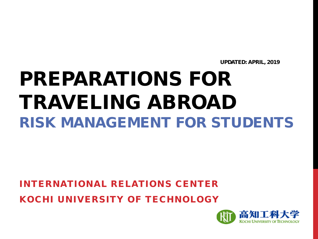UPDATED: APRIL, 2019

# PREPARATIONS FOR TRAVELING ABROAD RISK MANAGEMENT FOR STUDENTS

INTERNATIONAL RELATIONS CENTER KOCHI UNIVERSITY OF TECHNOLOGY

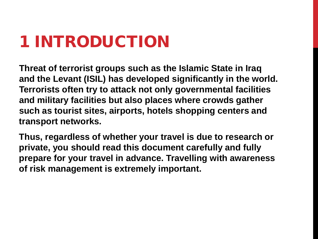## 1 INTRODUCTION

**Threat of terrorist groups such as the Islamic State in Iraq and the Levant (ISIL) has developed significantly in the world. Terrorists often try to attack not only governmental facilities and military facilities but also places where crowds gather such as tourist sites, airports, hotels shopping centers and transport networks.**

**Thus, regardless of whether your travel is due to research or private, you should read this document carefully and fully prepare for your travel in advance. Travelling with awareness of risk management is extremely important.**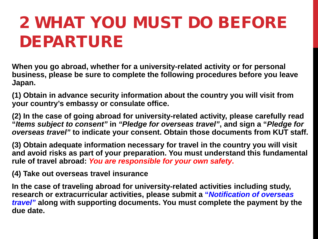# 2 WHAT YOU MUST DO BEFORE DEPARTURE

**When you go abroad, whether for a university-related activity or for personal business, please be sure to complete the following procedures before you leave Japan.** 

**(1) Obtain in advance security information about the country you will visit from your country's embassy or consulate office.** 

**(2) In the case of going abroad for university-related activity, please carefully read "***Items subject to consent"* **in** *"Pledge for overseas travel"***, and sign a "***Pledge for overseas travel"* **to indicate your consent. Obtain those documents from KUT staff.** 

**(3) Obtain adequate information necessary for travel in the country you will visit and avoid risks as part of your preparation. You must understand this fundamental rule of travel abroad:** *You are responsible for your own safety***.** 

**(4) Take out overseas travel insurance**

**In the case of traveling abroad for university-related activities including study, research or extracurricular activities, please submit a "***Notification of overseas travel"* **along with supporting documents. You must complete the payment by the due date.**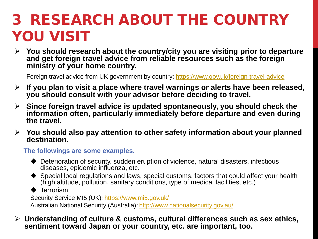### 3 RESEARCH ABOUT THE COUNTRY YOU VISIT

 **You should research about the country/city you are visiting prior to departure and get foreign travel advice from reliable resources such as the foreign ministry of your home country.**

Foreign travel advice from UK government by country: https://www.gov.uk/foreign-travel-advice

- **If you plan to visit a place where travel warnings or alerts have been released, you should consult with your advisor before deciding to travel.**
- **Since foreign travel advice is updated spontaneously, you should check the information often, particularly immediately before departure and even during the travel.**
- **You should also pay attention to other safety information about your planned destination.**

**The followings are some examples.**

- Deterioration of security, sudden eruption of violence, natural disasters, infectious diseases, epidemic influenza, etc.
- Special local regulations and laws, special customs, factors that could affect your health (high altitude, pollution, sanitary conditions, type of medical facilities, etc.)

**← Terrorism** 

Security Service MI5 (UK):<https://www.mi5.gov.uk/> Australian National Security (Australia):<http://www.nationalsecurity.gov.au/>

 **Understanding of culture & customs, cultural differences such as sex ethics, sentiment toward Japan or your country, etc. are important, too.**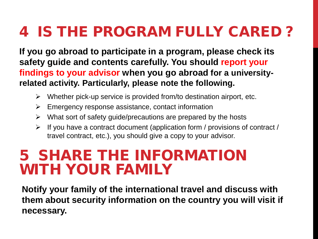### 4 IS THE PROGRAM FULLY CARED ?

**If you go abroad to participate in a program, please check its safety guide and contents carefully. You should report your findings to your advisor when you go abroad for a universityrelated activity. Particularly, please note the following.**

- $\triangleright$  Whether pick-up service is provided from/to destination airport, etc.
- $\triangleright$  Emergency response assistance, contact information
- $\triangleright$  What sort of safety guide/precautions are prepared by the hosts
- $\triangleright$  If you have a contract document (application form / provisions of contract / travel contract, etc.), you should give a copy to your advisor.

#### 5 SHARE THE INFORMATION WITH YOUR FAMILY

**Notify your family of the international travel and discuss with them about security information on the country you will visit if necessary.**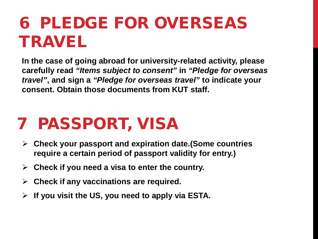## 6 PLEDGE FOR OVERSEAS TRAVEL

**In the case of going abroad for university-related activity, please carefully read** *"Items subject to consent"* **in** *"Pledge for overseas travel"***, and sign a** *"Pledge for overseas travel"* **to indicate your consent. Obtain those documents from KUT staff.** 

### 7 PASSPORT, VISA

- **Check your passport and expiration date.(Some countries require a certain period of passport validity for entry.)**
- **Check if you need a visa to enter the country.**
- **Check if any vaccinations are required.**
- **If you visit the US, you need to apply via ESTA.**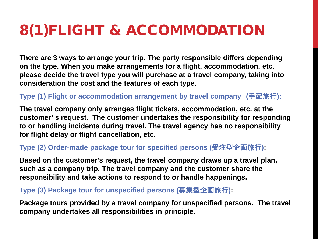### 8(1)FLIGHT & ACCOMMODATION

**There are 3 ways to arrange your trip. The party responsible differs depending on the type. When you make arrangements for a flight, accommodation, etc. please decide the travel type you will purchase at a travel company, taking into consideration the cost and the features of each type.**

**Type (1) Flight or accommodation arrangement by travel company (**手配旅行**):**

**The travel company only arranges flight tickets, accommodation, etc. at the customer' s request. The customer undertakes the responsibility for responding to or handling incidents during travel. The travel agency has no responsibility for flight delay or flight cancellation, etc.** 

#### **Type (2) Order-made package tour for specified persons (**受注型企画旅行**):**

**Based on the customer's request, the travel company draws up a travel plan, such as a company trip. The travel company and the customer share the responsibility and take actions to respond to or handle happenings.** 

#### **Type (3) Package tour for unspecified persons (**募集型企画旅行**):**

**Package tours provided by a travel company for unspecified persons. The travel company undertakes all responsibilities in principle.**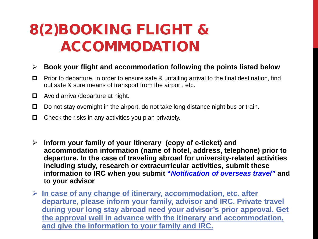### 8(2)BOOKING FLIGHT & ACCOMMODATION

#### **Book your flight and accommodation following the points listed below**

- **P** Prior to departure, in order to ensure safe & unfailing arrival to the final destination, find out safe & sure means of transport from the airport, etc.
- □ Avoid arrival/departure at night.
- $\Box$  Do not stay overnight in the airport, do not take long distance night bus or train.
- $\Box$  Check the risks in any activities you plan privately.
- **Inform your family of your Itinerary (copy of e-ticket) and accommodation information (name of hotel, address, telephone) prior to departure. In the case of traveling abroad for university-related activities including study, research or extracurricular activities, submit these information to IRC when you submit "***Notification of overseas travel"* **and to your advisor**
- **In case of any change of itinerary, accommodation, etc. after departure, please inform your family, advisor and IRC. Private travel during your long stay abroad need your advisor's prior approval. Get the approval well in advance with the itinerary and accommodation, and give the information to your family and IRC.**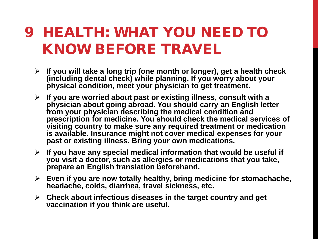#### 9 HEALTH: WHAT YOU NEED TO KNOW BEFORE TRAVEL

- **If you will take a long trip (one month or longer), get a health check (including dental check) while planning. If you worry about your physical condition, meet your physician to get treatment.**
- **If you are worried about past or existing illness, consult with a physician about going abroad. You should carry an English letter from your physician describing the medical condition and prescription for medicine. You should check the medical services of visiting country to make sure any required treatment or medication is available. Insurance might not cover medical expenses for your past or existing illness. Bring your own medications.**
- **If you have any special medical information that would be useful if you visit a doctor, such as allergies or medications that you take, prepare an English translation beforehand.**
- **Even if you are now totally healthy, bring medicine for stomachache, headache, colds, diarrhea, travel sickness, etc.**
- **Check about infectious diseases in the target country and get vaccination if you think are useful.**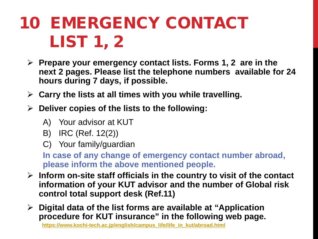## 10 EMERGENCY CONTACT LIST 1, 2

- **Prepare your emergency contact lists. Forms 1, 2 are in the next 2 pages. Please list the telephone numbers available for 24 hours during 7 days, if possible.**
- **Carry the lists at all times with you while travelling.**
- **Deliver copies of the lists to the following:** 
	- A) Your advisor at KUT
	- B) IRC (Ref. 12(2))
	- C) Your family/guardian

**In case of any change of emergency contact number abroad, please inform the above mentioned people.**

- **Inform on-site staff officials in the country to visit of the contact information of your KUT advisor and the number of Global risk control total support desk (Ref.11)**
- **Digital data of the list forms are available at "Application procedure for KUT insurance" in the following web page.**

**[https://www.kochi-tech.ac.jp/english/campus\\_life/life\\_in\\_kut/abroad.html](https://www.kochi-tech.ac.jp/english/campus_life/life_in_kut/abroad.html)**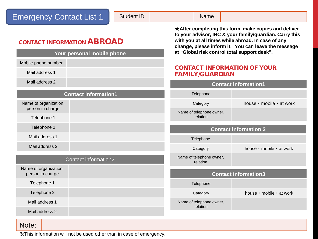#### Emergency Contact List 1

Student ID Name

CONTACT INFORMATION ABROAD

| Your personal mobile phone                |  |  |
|-------------------------------------------|--|--|
| Mobile phone number                       |  |  |
| Mail address 1                            |  |  |
| Mail address 2                            |  |  |
| <b>Contact information1</b>               |  |  |
| Name of organization,<br>person in charge |  |  |
| Telephone 1                               |  |  |
| Telephone 2                               |  |  |
| Mail address 1                            |  |  |
| Mail address 2                            |  |  |

| Contact information2                      |  | Name of telephone owner,<br>relation |                             |
|-------------------------------------------|--|--------------------------------------|-----------------------------|
| Name of organization,<br>person in charge |  |                                      | <b>Contact information3</b> |
| Telephone 1                               |  | Telephone                            |                             |
| Telephone 2                               |  | Category                             | house · mobile · at work    |
| Mail address 1                            |  | Name of telephone owner,<br>relation |                             |
| Mail address 2                            |  |                                      |                             |

#### ★**After completing this form, make copies and deliver to your advisor, IRC & your family/guardian. Carry this with you at all times while abroad. In case of any change, please inform it. You can leave the message at "Global risk control total support desk".**

#### CONTACT INFORMATION OF YOUR FAMILY/GUARDIAN

| <b>Contact information1</b>          |                             |  |  |  |
|--------------------------------------|-----------------------------|--|--|--|
| Telephone                            |                             |  |  |  |
| Category                             | house · mobile · at work    |  |  |  |
| Name of telephone owner,<br>relation |                             |  |  |  |
|                                      |                             |  |  |  |
| <b>Contact information 2</b>         |                             |  |  |  |
| Telephone                            |                             |  |  |  |
| Category                             | house · mobile · at work    |  |  |  |
| Name of telephone owner,<br>relation |                             |  |  |  |
|                                      |                             |  |  |  |
|                                      | <b>Contact information3</b> |  |  |  |
| Telephone                            |                             |  |  |  |

#### Note:

※This information will not be used other than in case of emergency.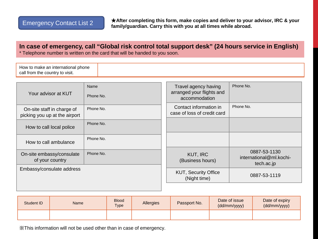★**After completing this form, make copies and deliver to your advisor, IRC & your family/guardian. Carry this with you at all times while abroad.** Figure 1.1 **Family/guardian. Carry this with you at all times while abroad.** 

#### **In case of emergency, call "Global risk control total support desk" (24 hours service in English)**  \* Telephone number is written on the card that will be handed to you soon.

| Your advisor at KUT                                         | Name<br>Phone No. | Travel agency having<br>arranged your flights and<br>accommodation | Phone No.                                             |
|-------------------------------------------------------------|-------------------|--------------------------------------------------------------------|-------------------------------------------------------|
| On-site staff in charge of<br>picking you up at the airport | Phone No.         | Contact information in<br>case of loss of credit card              | Phone No.                                             |
| How to call local police                                    | Phone No.         |                                                                    |                                                       |
| How to call ambulance                                       | Phone No.         |                                                                    |                                                       |
| On-site embassy/consulate<br>of your country                | Phone No.         | KUT, IRC<br>(Business hours)                                       | 0887-53-1130<br>international@ml.kochi-<br>tech.ac.jp |
| Embassy/consulate address                                   |                   | <b>KUT, Security Office</b><br>(Night time)                        | 0887-53-1119                                          |
|                                                             |                   |                                                                    |                                                       |

| Student ID | Name | <b>Blood</b><br><b>Type</b> | Allergies | Passport No. | Date of issue<br>(dd/mm/yyyy) | Date of expiry<br>(dd/mm/yyyy) |
|------------|------|-----------------------------|-----------|--------------|-------------------------------|--------------------------------|
|            |      |                             |           |              |                               |                                |

※This information will not be used other than in case of emergency.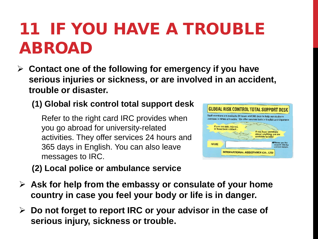## 11 IF YOU HAVE A TROUBLE ABROAD

 **Contact one of the following for emergency if you have serious injuries or sickness, or are involved in an accident, trouble or disaster.**

#### **(1) Global risk control total support desk**

Refer to the right card IRC provides when you go abroad for university-related activities. They offer services 24 hours and 365 days in English. You can also leave messages to IRC.



**(2) Local police or ambulance service**

- **Ask for help from the embassy or consulate of your home country in case you feel your body or life is in danger.**
- **Do not forget to report IRC or your advisor in the case of serious injury, sickness or trouble.**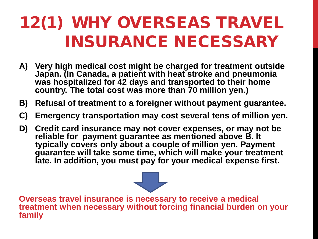## 12(1) WHY OVERSEAS TRAVEL INSURANCE NECESSARY

- **A) Very high medical cost might be charged for treatment outside Japan. (In Canada, a patient with heat stroke and pneumonia was hospitalized for 42 days and transported to their home country. The total cost was more than 70 million yen.)**
- **B) Refusal of treatment to a foreigner without payment guarantee.**
- **C) Emergency transportation may cost several tens of million yen.**
- **D) Credit card insurance may not cover expenses, or may not be reliable for payment guarantee as mentioned above B. It typically covers only about a couple of million yen. Payment guarantee will take some time, which will make your treatment late. In addition, you must pay for your medical expense first.**

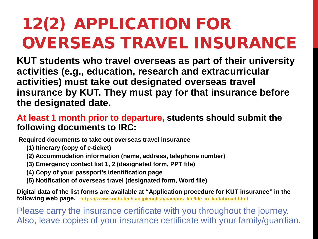# 12(2) APPLICATION FOR OVERSEAS TRAVEL INSURANCE

**KUT students who travel overseas as part of their university activities (e.g., education, research and extracurricular activities) must take out designated overseas travel insurance by KUT. They must pay for that insurance before the designated date.**

#### **At least 1 month prior to departure, students should submit the following documents to IRC:**

**Required documents to take out overseas travel insurance**

- **(1) Itinerary (copy of e-ticket)**
- **(2) Accommodation information (name, address, telephone number)**
- **(3) Emergency contact list 1, 2 (designated form, PPT file)**
- **(4) Copy of your passport's identification page**
- **(5) Notification of overseas travel (designated form, Word file)**

**Digital data of the list forms are available at "Application procedure for KUT insurance" in the following web page. [https://www.kochi-tech.ac.jp/english/campus\\_life/life\\_in\\_kut/abroad.html](https://www.kochi-tech.ac.jp/english/campus_life/life_in_kut/abroad.html)**

Please carry the insurance certificate with you throughout the journey. Also, leave copies of your insurance certificate with your family/guardian.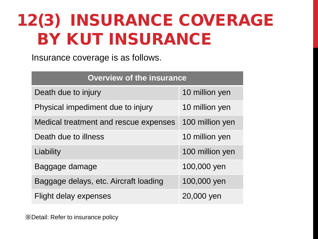## 12(3) INSURANCE COVERAGE BY KUT INSURANCE

Insurance coverage is as follows.

| <b>Overview of the insurance</b>      |                 |  |  |  |
|---------------------------------------|-----------------|--|--|--|
| Death due to injury                   | 10 million yen  |  |  |  |
| Physical impediment due to injury     | 10 million yen  |  |  |  |
| Medical treatment and rescue expenses | 100 million yen |  |  |  |
| Death due to illness                  | 10 million yen  |  |  |  |
| Liability                             | 100 million yen |  |  |  |
| Baggage damage                        | 100,000 yen     |  |  |  |
| Baggage delays, etc. Aircraft loading | 100,000 yen     |  |  |  |
| <b>Flight delay expenses</b>          | 20,000 yen      |  |  |  |

※Detail: Refer to insurance policy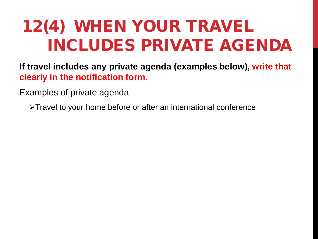# 12(4) WHEN YOUR TRAVEL INCLUDES PRIVATE AGENDA

**If travel includes any private agenda (examples below), write that clearly in the notification form.** 

Examples of private agenda

>Travel to your home before or after an international conference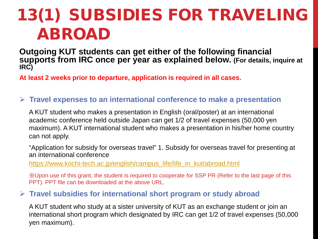# 13(1) SUBSIDIES FOR TRAVELING ABROAD

**Outgoing KUT students can get either of the following financial supports from IRC once per year as explained below. (For details, inquire at IRC)**

**At least 2 weeks prior to departure, application is required in all cases.**

#### **Travel expenses to an international conference to make a presentation**

A KUT student who makes a presentation in English (oral/poster) at an international academic conference held outside Japan can get 1/2 of travel expenses (50,000 yen maximum). A KUT international student who makes a presentation in his/her home country can not apply.

"Application for subsidy for overseas travel" 1. Subsidy for overseas travel for presenting at an international conference

[https://www.kochi-tech.ac.jp/english/campus\\_life/life\\_in\\_kut/abroad.html](https://www.kochi-tech.ac.jp/english/campus_life/life_in_kut/abroad.html)

※Upon use of this grant, the student is required to cooperate for SSP PR (Refer to the last page of this PPT). PPT file can be downloaded at the above URL.

#### **Travel subsidies for international short program or study abroad**

A KUT student who study at a sister university of KUT as an exchange student or join an international short program which designated by IRC can get 1/2 of travel expenses (50,000 yen maximum).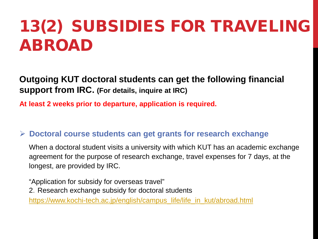## 13(2) SUBSIDIES FOR TRAVELING ABROAD

**Outgoing KUT doctoral students can get the following financial support from IRC. (For details, inquire at IRC)**

**At least 2 weeks prior to departure, application is required.**

#### **Doctoral course students can get grants for research exchange**

When a doctoral student visits a university with which KUT has an academic exchange agreement for the purpose of research exchange, travel expenses for 7 days, at the longest, are provided by IRC.

"Application for subsidy for overseas travel"

2.Research exchange subsidy for doctoral students

[https://www.kochi-tech.ac.jp/english/campus\\_life/life\\_in\\_kut/abroad.html](https://www.kochi-tech.ac.jp/english/campus_life/life_in_kut/abroad.html)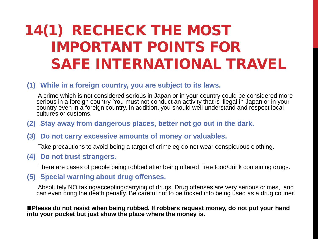### 14(1) RECHECK THE MOST IMPORTANT POINTS FOR SAFE INTERNATIONAL TRAVEL

#### **(1) While in a foreign country, you are subject to its laws.**

A crime which is not considered serious in Japan or in your country could be considered more serious in a foreign country. You must not conduct an activity that is illegal in Japan or in your country even in a foreign country. In addition, you should well understand and respect local cultures or customs.

- **(2) Stay away from dangerous places, better not go out in the dark.**
- **(3) Do not carry excessive amounts of money or valuables.**

Take precautions to avoid being a target of crime eg do not wear conspicuous clothing.

**(4) Do not trust strangers.** 

There are cases of people being robbed after being offered free food/drink containing drugs.

**(5) Special warning about drug offenses.** 

Absolutely NO taking/accepting/carrying of drugs. Drug offenses are very serious crimes, and can even bring the death penalty. Be careful not to be tricked into being used as a drug courier.

**Please do not resist when being robbed. If robbers request money, do not put your hand into your pocket but just show the place where the money is.**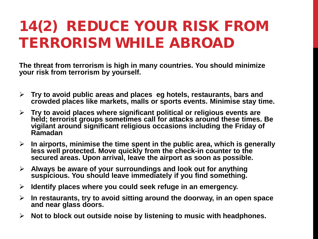### 14(2) REDUCE YOUR RISK FROM TERRORISM WHILE ABROAD

**The threat from terrorism is high in many countries. You should minimize your risk from terrorism by yourself.**

- **Try to avoid public areas and places eg hotels, restaurants, bars and crowded places like markets, malls or sports events. Minimise stay time.**
- **Try to avoid places where significant political or religious events are held; terrorist groups sometimes call for attacks around these times. Be vigilant around significant religious occasions including the Friday of Ramadan**
- **In airports, minimise the time spent in the public area, which is generally less well protected. Move quickly from the check-in counter to the secured areas. Upon arrival, leave the airport as soon as possible.**
- **Always be aware of your surroundings and look out for anything suspicious. You should leave immediately if you find something.**
- **Identify places where you could seek refuge in an emergency.**
- **In restaurants, try to avoid sitting around the doorway, in an open space and near glass doors.**
- **Not to block out outside noise by listening to music with headphones.**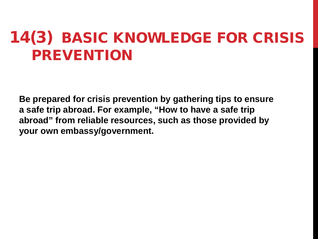### 14(3) BASIC KNOWLEDGE FOR CRISIS PREVENTION

**Be prepared for crisis prevention by gathering tips to ensure a safe trip abroad. For example, "How to have a safe trip abroad" from reliable resources, such as those provided by your own embassy/government.**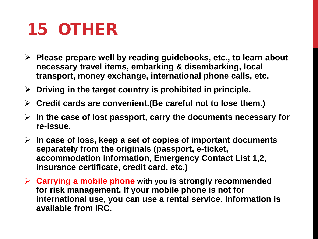### 15 OTHER

- **Please prepare well by reading guidebooks, etc., to learn about necessary travel items, embarking & disembarking, local transport, money exchange, international phone calls, etc.**
- **Driving in the target country is prohibited in principle.**
- **Credit cards are convenient.(Be careful not to lose them.)**
- **In the case of lost passport, carry the documents necessary for re-issue.**
- **In case of loss, keep a set of copies of important documents separately from the originals (passport, e-ticket, accommodation information, Emergency Contact List 1,2, insurance certificate, credit card, etc.)**
- **Carrying a mobile phone with you is strongly recommended for risk management. If your mobile phone is not for international use, you can use a rental service. Information is available from IRC.**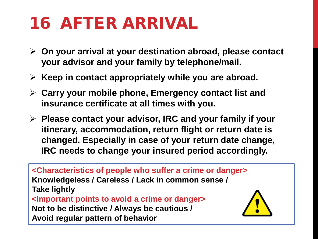# 16 AFTER ARRIVAL

- **On your arrival at your destination abroad, please contact your advisor and your family by telephone/mail.**
- **Keep in contact appropriately while you are abroad.**
- **Carry your mobile phone, Emergency contact list and insurance certificate at all times with you.**
- **Please contact your advisor, IRC and your family if your itinerary, accommodation, return flight or return date is changed. Especially in case of your return date change, IRC needs to change your insured period accordingly.**

**<Characteristics of people who suffer a crime or danger> Knowledgeless / Careless / Lack in common sense / Take lightly <Important points to avoid a crime or danger> Not to be distinctive / Always be cautious / Avoid regular pattern of behavior**

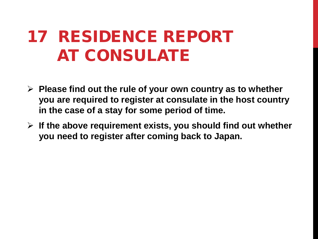## 17 RESIDENCE REPORT AT CONSULATE

- **Please find out the rule of your own country as to whether you are required to register at consulate in the host country in the case of a stay for some period of time.**
- **If the above requirement exists, you should find out whether you need to register after coming back to Japan.**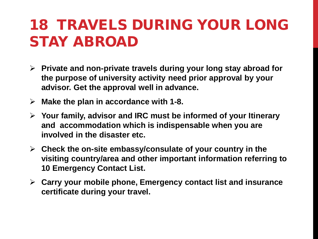### 18 TRAVELS DURING YOUR LONG STAY ABROAD

- **Private and non-private travels during your long stay abroad for the purpose of university activity need prior approval by your advisor. Get the approval well in advance.**
- **Make the plan in accordance with 1-8.**
- **Your family, advisor and IRC must be informed of your Itinerary and accommodation which is indispensable when you are involved in the disaster etc.**
- **Check the on-site embassy/consulate of your country in the visiting country/area and other important information referring to 10 Emergency Contact List.**
- **Carry your mobile phone, Emergency contact list and insurance certificate during your travel.**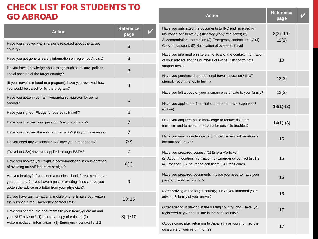#### CHECK LIST FOR STUDENTS TO GO ABROAD

| <b>Action</b>                                                                                                                                                                           | <b>Reference</b><br>page |  |
|-----------------------------------------------------------------------------------------------------------------------------------------------------------------------------------------|--------------------------|--|
| Have you checked warning/alerts released about the target<br>country?                                                                                                                   | 3                        |  |
| Have you got general safety information on region you'll visit?                                                                                                                         | 3                        |  |
| Do you have knowledge about things such as culture, politics,<br>social aspects of the target country?                                                                                  | 3                        |  |
| (If your travel is related to a program), have you reviewed how<br>you would be cared for by the program?                                                                               | 4                        |  |
| Have you gotten your family/guardian's approval for going<br>abroad?                                                                                                                    | 5                        |  |
| Have you signed "Pledge for overseas travel"?                                                                                                                                           | 6                        |  |
| Have you checked your passport & expiration date?                                                                                                                                       | 7                        |  |
| Have you checked the visa requirements? (Do you have visa?)                                                                                                                             | 7                        |  |
| Do you need any vaccinations? (Have you gotten them?)                                                                                                                                   | 7.9                      |  |
| (Travel to USA) Have you applied through ESTA?                                                                                                                                          | 7                        |  |
| Have you booked your flight & accommodation in consideration<br>of avoiding arrival/departure at night?                                                                                 | 8(2)                     |  |
| Are you healthy? If you need a medical check / treatment, have<br>you done that? If you have a past or existing illness, have you<br>gotten the advice or a letter from your physician? | 9                        |  |
| Do you have an international mobile phone & have you written<br>the number in the Emergency contact list1?                                                                              | $10 - 15$                |  |
| Have you shared the documents to your family/guardian and<br>your KUT advisor? (1) Itinerary (copy of e-ticket) (2)<br>Accommodation information (3) Emergency contact list 1,2         | $8(2) \cdot 10$          |  |
|                                                                                                                                                                                         |                          |  |

| <b>Action</b>                                                                                                                                                                                                                                   | <b>Reference</b><br>page       |  |
|-------------------------------------------------------------------------------------------------------------------------------------------------------------------------------------------------------------------------------------------------|--------------------------------|--|
| Have you submitted the documents to IRC and received an<br>insurance certificate? (1) Itinerary (copy of e-ticket) (2)<br>Accommodation information (3) Emergency contact list 1,2 (4)<br>Copy of passport, (5) Notification of overseas travel | $8(2) \cdot 10 \cdot$<br>12(2) |  |
| Have you informed on-site staff official of the contact information<br>of your advisor and the numbers of Global risk control total<br>support desk?                                                                                            | 10                             |  |
| Have you purchased an additional travel insurance? (KUT<br>strongly recommends to buy it)                                                                                                                                                       | 12(3)                          |  |
| Have you left a copy of your Insurance certificate to your family?                                                                                                                                                                              | 12(2)                          |  |
| Have you applied for financial supports for travel expenses?<br>(option)                                                                                                                                                                        | $13(1)-(2)$                    |  |
| Have you acquired basic knowledge to reduce risk from<br>terrorism and to avoid or prepare for possible troubles?                                                                                                                               | $14(1)-(3)$                    |  |
| Have you read a guidebook, etc. to get general information on<br>international travel?                                                                                                                                                          | 15                             |  |
| Have you prepared copies? (1) Itinerary (e-ticket)<br>(2) Accommodation information (3) Emergency contact list 1,2<br>(4) Passport (5) Insurance certificate (6) Credit cards                                                                   | 15                             |  |
| Have you prepared documents in case you need to have your<br>passport replaced abroad?                                                                                                                                                          | 15                             |  |
| (After arriving at the target country) Have you informed your<br>advisor & family of your arrival?                                                                                                                                              | 16                             |  |
| (After arriving, if staying in the visiting country long) Have you<br>registered at your consulate in the host country?                                                                                                                         | 17                             |  |
| (Above case, after returning to Japan) Have you informed the<br>consulate of your return home?                                                                                                                                                  | 17                             |  |